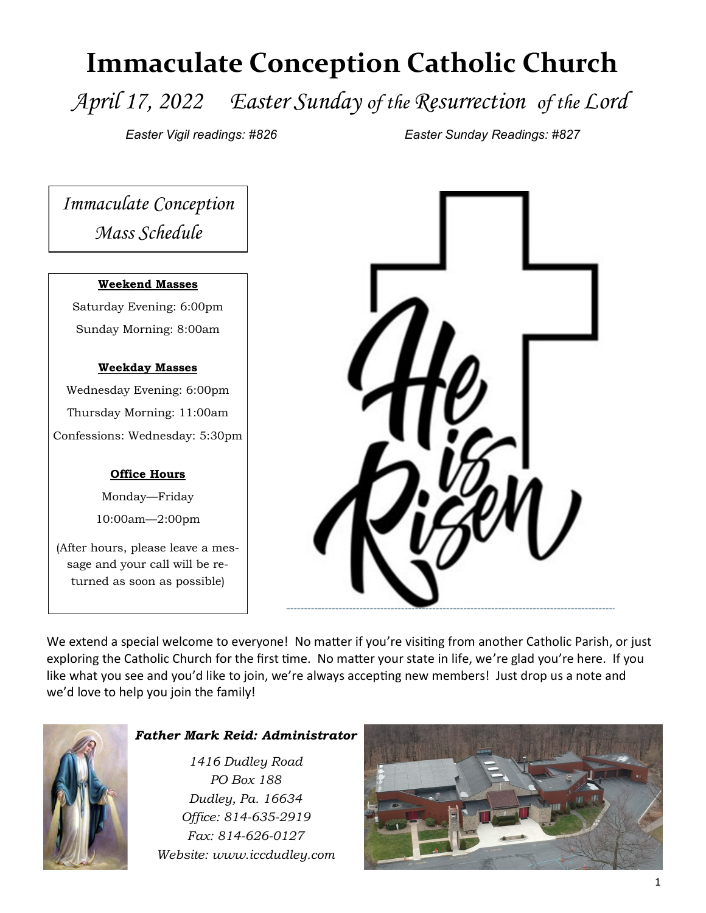# **Immaculate Conception Catholic Church**

*April 17, 2022 Easter Sunday of the Resurrection of the Lord*

*Easter Vigil readings: #826 Easter Sunday Readings: #827*

*Immaculate Conception Mass Schedule*

#### **Weekend Masses**

Saturday Evening: 6:00pm Sunday Morning: 8:00am

#### **Weekday Masses**

Wednesday Evening: 6:00pm Thursday Morning: 11:00am Confessions: Wednesday: 5:30pm

#### **Office Hours**

Monday—Friday 10:00am—2:00pm

(After hours, please leave a message and your call will be returned as soon as possible)



We extend a special welcome to everyone! No matter if you're visiting from another Catholic Parish, or just exploring the Catholic Church for the first time. No matter your state in life, we're glad you're here. If you like what you see and you'd like to join, we're always accepting new members! Just drop us a note and we'd love to help you join the family!



#### *Father Mark Reid: Administrator*

*1416 Dudley Road PO Box 188 Dudley, Pa. 16634 Office: 814-635-2919 Fax: 814-626-0127 Website: www.iccdudley.com*

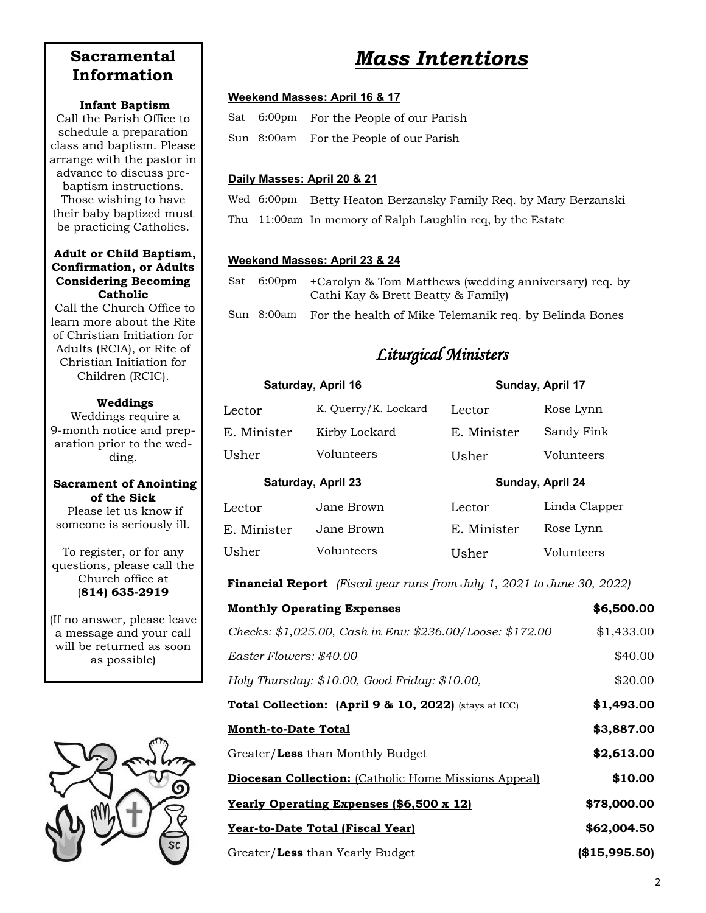### **Sacramental Information**

#### **Infant Baptism**

Call the Parish Office to schedule a preparation class and baptism. Please arrange with the pastor in advance to discuss prebaptism instructions. Those wishing to have their baby baptized must be practicing Catholics.

#### **Adult or Child Baptism, Confirmation, or Adults Considering Becoming Catholic**

Call the Church Office to learn more about the Rite of Christian Initiation for Adults (RCIA), or Rite of Christian Initiation for Children (RCIC).

#### **Weddings**

Weddings require a 9-month notice and preparation prior to the wedding.

#### **Sacrament of Anointing of the Sick**

Please let us know if someone is seriously ill.

To register, or for any questions, please call the Church office at (**814) 635-2919**

(If no answer, please leave a message and your call will be returned as soon as possible)



# *Mass Intentions*

#### **Weekend Masses: April 16 & 17**

- Sat 6:00pm For the People of our Parish
- Sun 8:00am For the People of our Parish

#### **Daily Masses: April 20 & 21**

Wed 6:00pm Betty Heaton Berzansky Family Req. by Mary Berzanski Thu 11:00am In memory of Ralph Laughlin req, by the Estate

#### **Weekend Masses: April 23 & 24**

|            | Sat 6:00pm + Carolyn & Tom Matthews (wedding anniversary) req. by<br>Cathi Kay & Brett Beatty & Family |
|------------|--------------------------------------------------------------------------------------------------------|
| Sun 8:00am | For the health of Mike Telemanik req. by Belinda Bones                                                 |

### *Liturgical Ministers*

|                           | Saturday, April 16   | Sunday, April 17 |               |
|---------------------------|----------------------|------------------|---------------|
| Lector                    | K. Querry/K. Lockard | Lector           | Rose Lynn     |
| E. Minister               | Kirby Lockard        | E. Minister      | Sandy Fink    |
| Usher                     | Volunteers           | Usher            | Volunteers    |
| <b>Saturday, April 23</b> |                      | Sunday, April 24 |               |
|                           |                      |                  |               |
| Lector                    | Jane Brown           | Lector           | Linda Clapper |
| E. Minister               | Jane Brown           | E. Minister      | Rose Lynn     |

**Financial Report** *(Fiscal year runs from July 1, 2021 to June 30, 2022)*

| <b>Monthly Operating Expenses</b>                           | \$6,500.00    |
|-------------------------------------------------------------|---------------|
| Checks: \$1,025.00, Cash in Env: \$236.00/Loose: \$172.00   | \$1,433.00    |
| Easter Flowers: \$40.00                                     | \$40.00       |
| Holy Thursday: \$10.00, Good Friday: \$10.00,               | \$20.00       |
| Total Collection: (April 9 & 10, 2022) (stays at ICC)       | \$1,493.00    |
| <b>Month-to-Date Total</b>                                  | \$3,887.00    |
| Greater/Less than Monthly Budget                            | \$2,613.00    |
| <b>Diocesan Collection:</b> (Catholic Home Missions Appeal) | \$10.00       |
| <b>Yearly Operating Expenses (\$6,500 x 12)</b>             | \$78,000.00   |
| Year-to-Date Total (Fiscal Year)                            | \$62,004.50   |
| Greater/Less than Yearly Budget                             | (\$15,995.50) |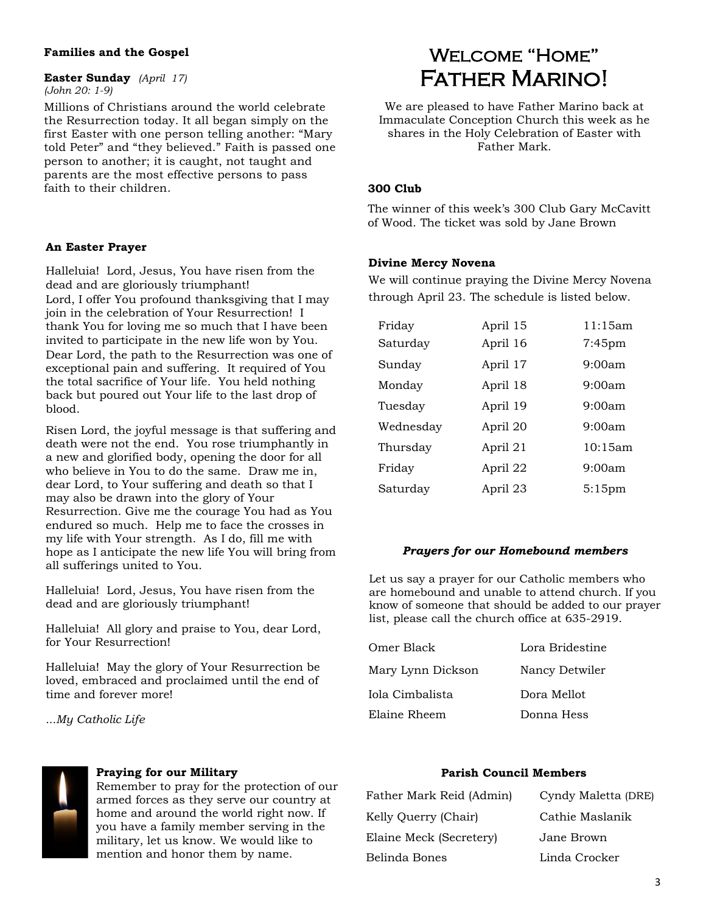#### **Families and the Gospel**

#### **Easter Sunday** *(April 17)*

#### *(John 20: 1-9)*

Millions of Christians around the world celebrate the Resurrection today. It all began simply on the first Easter with one person telling another: "Mary told Peter" and "they believed." Faith is passed one person to another; it is caught, not taught and parents are the most effective persons to pass faith to their children.

#### **An Easter Prayer**

Halleluia! Lord, Jesus, You have risen from the dead and are gloriously triumphant! Lord, I offer You profound thanksgiving that I may join in the celebration of Your Resurrection! I thank You for loving me so much that I have been invited to participate in the new life won by You. Dear Lord, the path to the Resurrection was one of exceptional pain and suffering. It required of You the total sacrifice of Your life. You held nothing back but poured out Your life to the last drop of blood.

Risen Lord, the joyful message is that suffering and death were not the end. You rose triumphantly in a new and glorified body, opening the door for all who believe in You to do the same. Draw me in, dear Lord, to Your suffering and death so that I may also be drawn into the glory of Your Resurrection. Give me the courage You had as You endured so much. Help me to face the crosses in my life with Your strength. As I do, fill me with hope as I anticipate the new life You will bring from all sufferings united to You.

Halleluia! Lord, Jesus, You have risen from the dead and are gloriously triumphant!

Halleluia! All glory and praise to You, dear Lord, for Your Resurrection!

Halleluia! May the glory of Your Resurrection be loved, embraced and proclaimed until the end of time and forever more!

*...My Catholic Life*



#### **Praying for our Military**

Remember to pray for the protection of our armed forces as they serve our country at home and around the world right now. If you have a family member serving in the military, let us know. We would like to mention and honor them by name.

## Welcome "Home" Father Marino!

We are pleased to have Father Marino back at Immaculate Conception Church this week as he shares in the Holy Celebration of Easter with Father Mark.

#### **300 Club**

The winner of this week's 300 Club Gary McCavitt of Wood. The ticket was sold by Jane Brown

#### **Divine Mercy Novena**

We will continue praying the Divine Mercy Novena through April 23. The schedule is listed below.

| Friday    | April 15 | 11:15am   |
|-----------|----------|-----------|
| Saturday  | April 16 | $7:45$ pm |
| Sunday    | April 17 | 9:00am    |
| Monday    | April 18 | 9:00am    |
| Tuesday   | April 19 | 9:00am    |
| Wednesday | April 20 | 9:00am    |
| Thursday  | April 21 | 10:15am   |
| Friday    | April 22 | 9:00am    |
| Saturday  | April 23 | $5:15$ pm |

#### *Prayers for our Homebound members*

Let us say a prayer for our Catholic members who are homebound and unable to attend church. If you know of someone that should be added to our prayer list, please call the church office at 635-2919.

| Omer Black        | Lora Bridestine |
|-------------------|-----------------|
| Mary Lynn Dickson | Nancy Detwiler  |
| Iola Cimbalista   | Dora Mellot     |
| Elaine Rheem      | Donna Hess      |

#### **Parish Council Members**

| Father Mark Reid (Admin) | Cyndy Maletta (DRE) |
|--------------------------|---------------------|
| Kelly Querry (Chair)     | Cathie Maslanik     |
| Elaine Meck (Secretery)  | Jane Brown          |
| Belinda Bones            | Linda Crocker       |